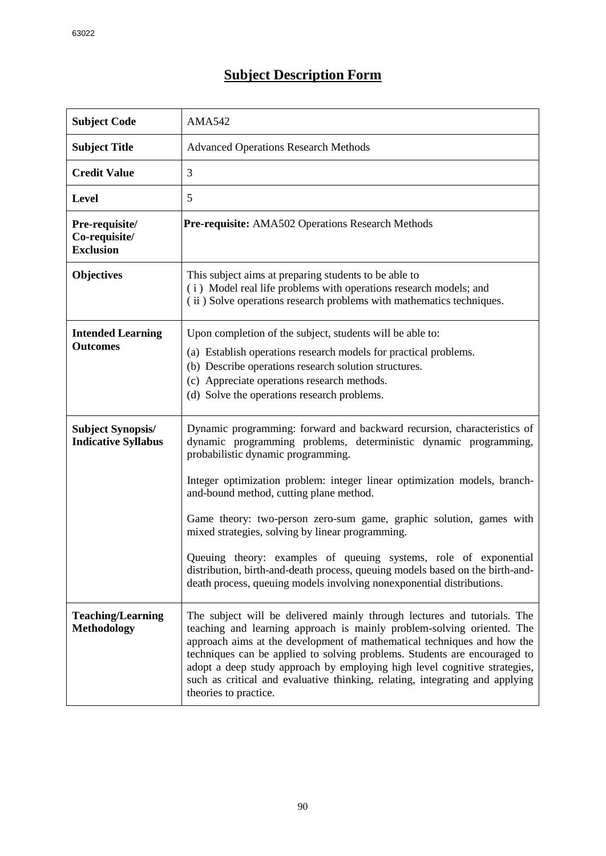## **Subject Description Form**

| <b>Subject Code</b>                                    | <b>AMA542</b>                                                                                                                                                                                                                                                                                                                                                                                                                                                                                                                                                                                                                                                      |
|--------------------------------------------------------|--------------------------------------------------------------------------------------------------------------------------------------------------------------------------------------------------------------------------------------------------------------------------------------------------------------------------------------------------------------------------------------------------------------------------------------------------------------------------------------------------------------------------------------------------------------------------------------------------------------------------------------------------------------------|
| <b>Subject Title</b>                                   | <b>Advanced Operations Research Methods</b>                                                                                                                                                                                                                                                                                                                                                                                                                                                                                                                                                                                                                        |
| <b>Credit Value</b>                                    | 3                                                                                                                                                                                                                                                                                                                                                                                                                                                                                                                                                                                                                                                                  |
| <b>Level</b>                                           | 5                                                                                                                                                                                                                                                                                                                                                                                                                                                                                                                                                                                                                                                                  |
| Pre-requisite/<br>Co-requisite/<br><b>Exclusion</b>    | Pre-requisite: AMA502 Operations Research Methods                                                                                                                                                                                                                                                                                                                                                                                                                                                                                                                                                                                                                  |
| <b>Objectives</b>                                      | This subject aims at preparing students to be able to<br>(i) Model real life problems with operations research models; and<br>(ii) Solve operations research problems with mathematics techniques.                                                                                                                                                                                                                                                                                                                                                                                                                                                                 |
| <b>Intended Learning</b><br><b>Outcomes</b>            | Upon completion of the subject, students will be able to:<br>(a) Establish operations research models for practical problems.<br>(b) Describe operations research solution structures.<br>(c) Appreciate operations research methods.<br>(d) Solve the operations research problems.                                                                                                                                                                                                                                                                                                                                                                               |
| <b>Subject Synopsis/</b><br><b>Indicative Syllabus</b> | Dynamic programming: forward and backward recursion, characteristics of<br>dynamic programming problems, deterministic dynamic programming,<br>probabilistic dynamic programming.<br>Integer optimization problem: integer linear optimization models, branch-<br>and-bound method, cutting plane method.<br>Game theory: two-person zero-sum game, graphic solution, games with<br>mixed strategies, solving by linear programming.<br>Queuing theory: examples of queuing systems, role of exponential<br>distribution, birth-and-death process, queuing models based on the birth-and-<br>death process, queuing models involving nonexponential distributions. |
| <b>Teaching/Learning</b><br><b>Methodology</b>         | The subject will be delivered mainly through lectures and tutorials. The<br>teaching and learning approach is mainly problem-solving oriented. The<br>approach aims at the development of mathematical techniques and how the<br>techniques can be applied to solving problems. Students are encouraged to<br>adopt a deep study approach by employing high level cognitive strategies,<br>such as critical and evaluative thinking, relating, integrating and applying<br>theories to practice.                                                                                                                                                                   |